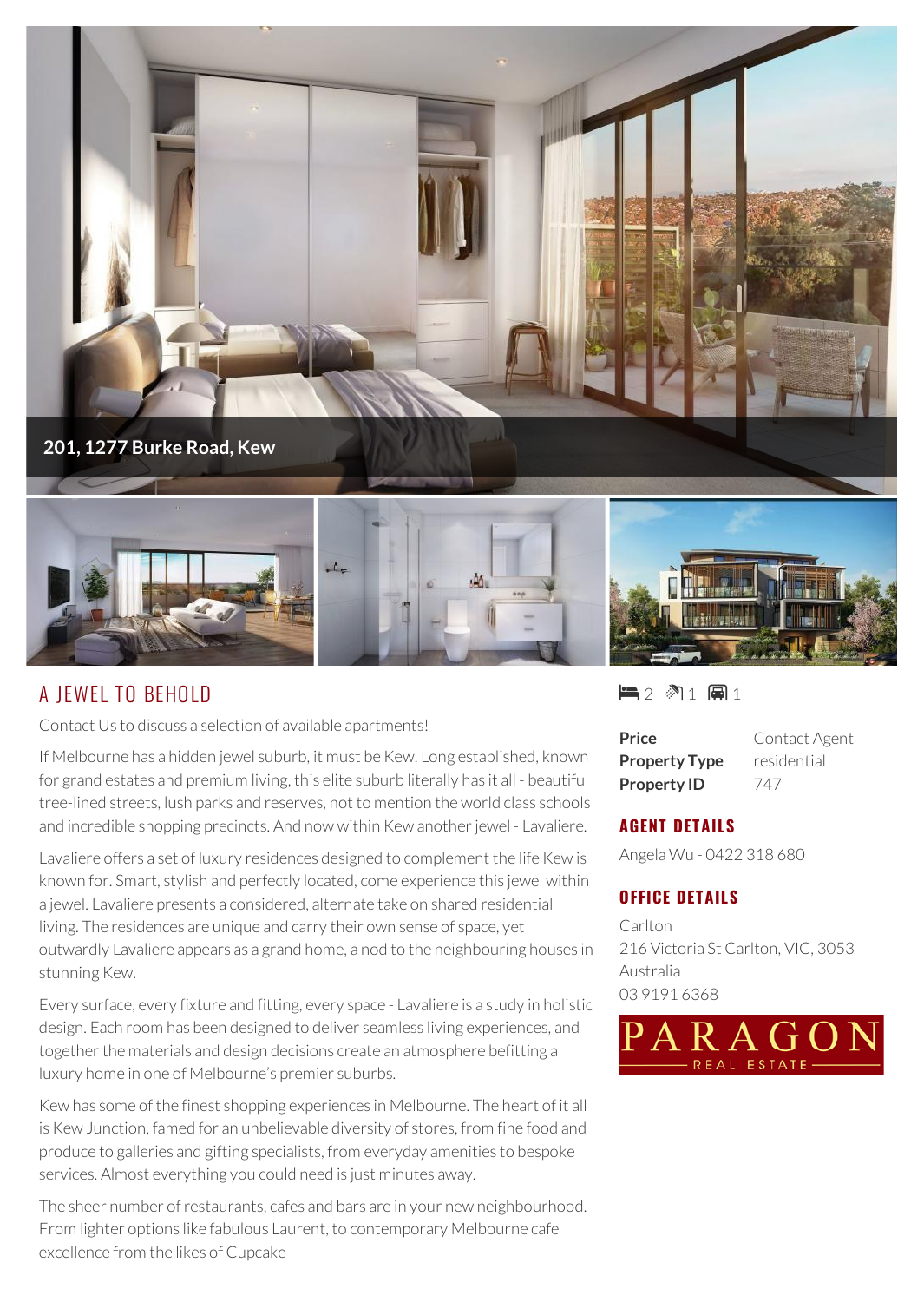

## A JEWEL TO BEHOLD

Contact Us to discuss a selection of available apartments!

If Melbourne has a hidden jewel suburb, it must be Kew. Long established, known for grand estates and premium living, this elite suburb literally has it all - beautiful tree-lined streets, lush parks and reserves, not to mention the world class schools and incredible shopping precincts. And now within Kew another jewel - Lavaliere.

Lavaliere offers a set of luxury residences designed to complement the life Kew is known for. Smart, stylish and perfectly located, come experience this jewel within a jewel. Lavaliere presents a considered, alternate take on shared residential living. The residences are unique and carry their own sense of space, yet outwardly Lavaliere appears as a grand home, a nod to the neighbouring houses in stunning Kew.

Every surface, every fixture and fitting, every space - Lavaliere is a study in holistic design. Each room has been designed to deliver seamless living experiences, and together the materials and design decisions create an atmosphere befitting a luxury home in one of Melbourne's premier suburbs.

Kew has some of the finest shopping experiences in Melbourne. The heart of it all is Kew Junction, famed for an unbelievable diversity of stores, from fine food and produce to galleries and gifting specialists, from everyday amenities to bespoke services. Almost everything you could need is just minutes away.

The sheer number of restaurants, cafes and bars are in your new neighbourhood. From lighter options like fabulous Laurent, to contemporary Melbourne cafe excellence from the likes of Cupcake

 $\blacksquare$  2  $\mathbb{M}$  1  $\boxplus$  1

**Price** Contact Agent **Property Type** residential **Property ID** 747

## **AGENT DETAILS**

Angela Wu - 0422 318 680

## **OFFICE DETAILS**

Carlton 216 Victoria St Carlton, VIC, 3053 Australia 03 9191 6368